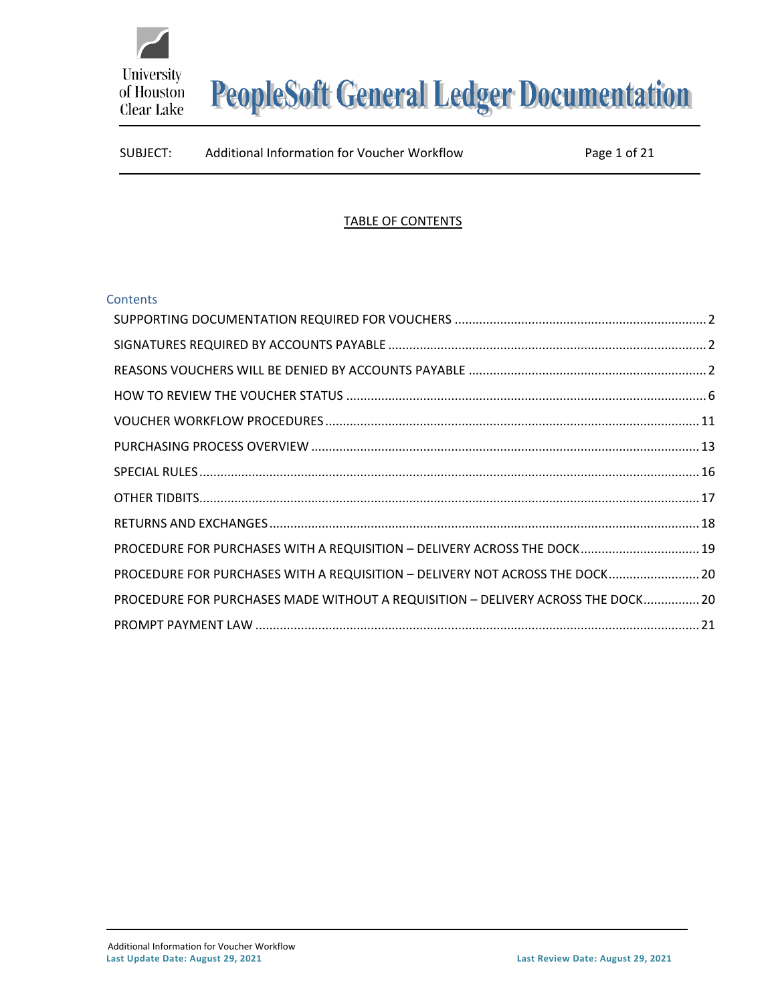

### SUBJECT: Additional Information for Voucher Workflow Page 1 of 21

#### TABLE OF CONTENTS

#### **Contents**

| PROCEDURE FOR PURCHASES WITH A REQUISITION - DELIVERY ACROSS THE DOCK 19         |  |
|----------------------------------------------------------------------------------|--|
| PROCEDURE FOR PURCHASES WITH A REQUISITION - DELIVERY NOT ACROSS THE DOCK 20     |  |
| PROCEDURE FOR PURCHASES MADE WITHOUT A REQUISITION - DELIVERY ACROSS THE DOCK 20 |  |
|                                                                                  |  |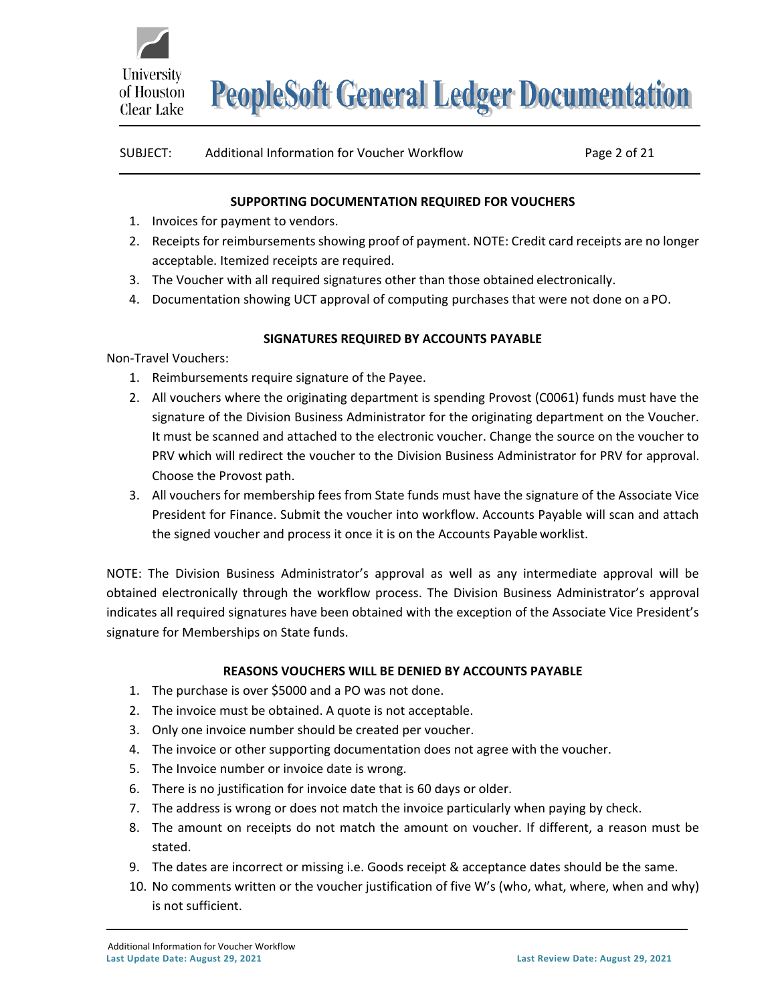

| SUBJECT: | Additional Information for Voucher Workflow | Page 2 of 21 |
|----------|---------------------------------------------|--------------|
|          |                                             |              |

#### **SUPPORTING DOCUMENTATION REQUIRED FOR VOUCHERS**

- <span id="page-1-0"></span>1. Invoices for payment to vendors.
- 2. Receipts for reimbursements showing proof of payment. NOTE: Credit card receipts are no longer acceptable. Itemized receipts are required.
- 3. The Voucher with all required signatures other than those obtained electronically.
- 4. Documentation showing UCT approval of computing purchases that were not done on a PO.

#### **SIGNATURES REQUIRED BY ACCOUNTS PAYABLE**

<span id="page-1-1"></span>Non-Travel Vouchers:

- 1. Reimbursements require signature of the Payee.
- 2. All vouchers where the originating department is spending Provost (C0061) funds must have the signature of the Division Business Administrator for the originating department on the Voucher. It must be scanned and attached to the electronic voucher. Change the source on the voucher to PRV which will redirect the voucher to the Division Business Administrator for PRV for approval. Choose the Provost path.
- 3. All vouchers for membership fees from State funds must have the signature of the Associate Vice President for Finance. Submit the voucher into workflow. Accounts Payable will scan and attach the signed voucher and process it once it is on the Accounts Payable worklist.

NOTE: The Division Business Administrator's approval as well as any intermediate approval will be obtained electronically through the workflow process. The Division Business Administrator's approval indicates all required signatures have been obtained with the exception of the Associate Vice President's signature for Memberships on State funds.

#### **REASONS VOUCHERS WILL BE DENIED BY ACCOUNTS PAYABLE**

- <span id="page-1-2"></span>1. The purchase is over \$5000 and a PO was not done.
- 2. The invoice must be obtained. A quote is not acceptable.
- 3. Only one invoice number should be created per voucher.
- 4. The invoice or other supporting documentation does not agree with the voucher.
- 5. The Invoice number or invoice date is wrong.
- 6. There is no justification for invoice date that is 60 days or older.
- 7. The address is wrong or does not match the invoice particularly when paying by check.
- 8. The amount on receipts do not match the amount on voucher. If different, a reason must be stated.
- 9. The dates are incorrect or missing i.e. Goods receipt & acceptance dates should be the same.
- 10. No comments written or the voucher justification of five W's (who, what, where, when and why) is not sufficient.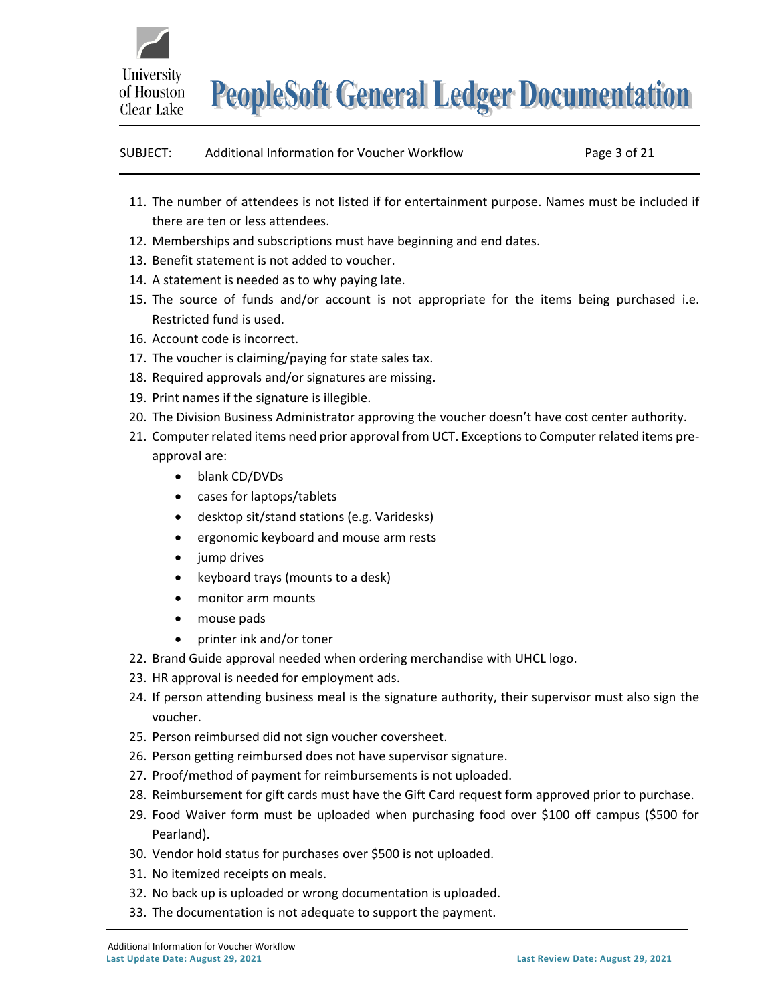

| SUBJECT: | Additional Information for Voucher Workflow | Page 3 of 21 |
|----------|---------------------------------------------|--------------|
|          |                                             |              |

- 11. The number of attendees is not listed if for entertainment purpose. Names must be included if there are ten or less attendees.
- 12. Memberships and subscriptions must have beginning and end dates.
- 13. Benefit statement is not added to voucher.
- 14. A statement is needed as to why paying late.
- 15. The source of funds and/or account is not appropriate for the items being purchased i.e. Restricted fund is used.
- 16. Account code is incorrect.
- 17. The voucher is claiming/paying for state sales tax.
- 18. Required approvals and/or signatures are missing.
- 19. Print names if the signature is illegible.
- 20. The Division Business Administrator approving the voucher doesn't have cost center authority.
- 21. Computer related items need prior approval from UCT. Exceptions to Computer related items preapproval are:
	- blank CD/DVDs
	- cases for laptops/tablets
	- desktop sit/stand stations (e.g. Varidesks)
	- ergonomic keyboard and mouse arm rests
	- jump drives
	- keyboard trays (mounts to a desk)
	- monitor arm mounts
	- mouse pads
	- printer ink and/or toner
- 22. Brand Guide approval needed when ordering merchandise with UHCL logo.
- 23. HR approval is needed for employment ads.
- 24. If person attending business meal is the signature authority, their supervisor must also sign the voucher.
- 25. Person reimbursed did not sign voucher coversheet.
- 26. Person getting reimbursed does not have supervisor signature.
- 27. Proof/method of payment for reimbursements is not uploaded.
- 28. Reimbursement for gift cards must have the Gift Card request form approved prior to purchase.
- 29. Food Waiver form must be uploaded when purchasing food over \$100 off campus (\$500 for Pearland).
- 30. Vendor hold status for purchases over \$500 is not uploaded.
- 31. No itemized receipts on meals.
- 32. No back up is uploaded or wrong documentation is uploaded.
- 33. The documentation is not adequate to support the payment.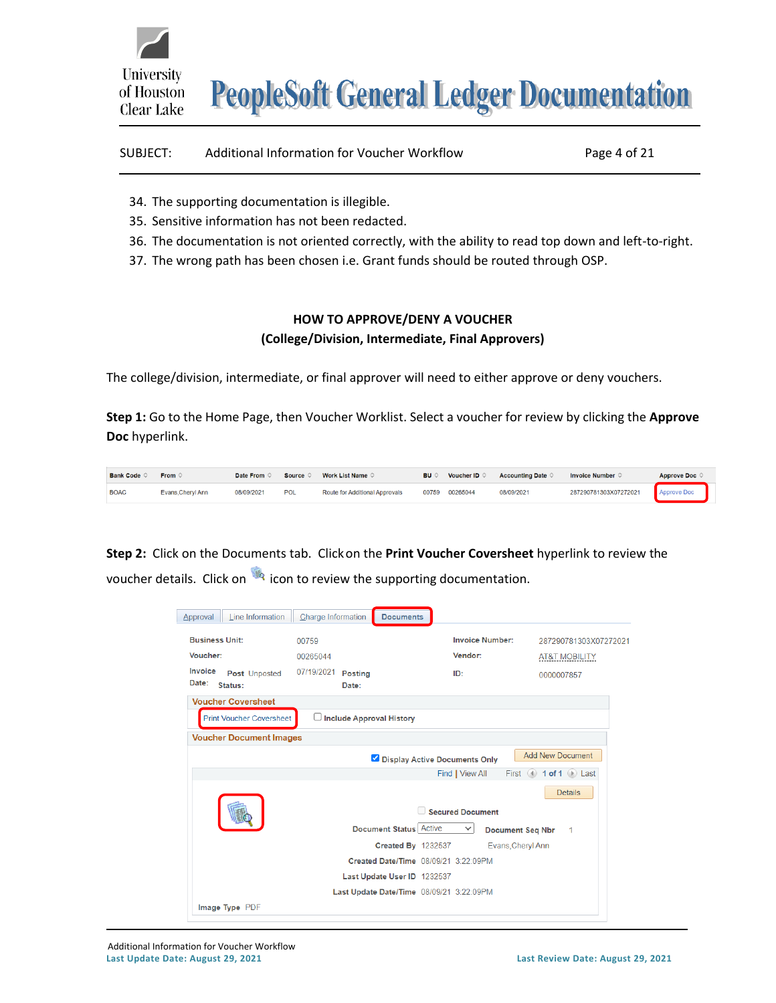

| SUBJECT: | Additional Information for Voucher Workflow | Page 4 of 21 |
|----------|---------------------------------------------|--------------|
|----------|---------------------------------------------|--------------|

- 34. The supporting documentation is illegible.
- 35. Sensitive information has not been redacted.
- 36. The documentation is not oriented correctly, with the ability to read top down and left-to-right.
- 37. The wrong path has been chosen i.e. Grant funds should be routed through OSP.

#### **HOW TO APPROVE/DENY A VOUCHER (College/Division, Intermediate, Final Approvers)**

The college/division, intermediate, or final approver will need to either approve or deny vouchers.

**Step 1:** Go to the Home Page, then Voucher Worklist. Select a voucher for review by clicking the **Approve Doc** hyperlink.

| <b>Bank Code</b> | From $\circ$      | Date From $\circ$ | Source $\Diamond$ | Work List Name $\,\circ\,$     | <b>BU</b> O |                | Voucher ID $\heartsuit$ Accounting Date $\heartsuit$ | Invoice Number $\Diamond$         | Approve Doc © |
|------------------|-------------------|-------------------|-------------------|--------------------------------|-------------|----------------|------------------------------------------------------|-----------------------------------|---------------|
| <b>BOAC</b>      | Evans, Cheryl Ann | 08/09/2021        | <b>POL</b>        | Route for Additional Approvals |             | 00759 00265044 | 08/09/2021                                           | 287290781303X07272021 Approve Doc |               |

**Step 2:** Click on the Documents tab. Clickon the **Print Voucher Coversheet** hyperlink to review the voucher details. Click on **in its continue to review the supporting documentation**.

| Approval              | Line Information                | Charge Information              | <b>Documents</b>                         |                  |                        |                                                 |                       |
|-----------------------|---------------------------------|---------------------------------|------------------------------------------|------------------|------------------------|-------------------------------------------------|-----------------------|
| <b>Business Unit:</b> |                                 | 00759                           |                                          |                  | <b>Invoice Number:</b> |                                                 | 287290781303X07272021 |
|                       |                                 |                                 |                                          |                  |                        |                                                 |                       |
| Voucher:              |                                 | 00265044                        |                                          | Vendor:          |                        | <b>AT&amp;T MOBILITY</b>                        |                       |
| Invoice               | Post Unposted                   | 07/19/2021 Posting              |                                          | ID:              |                        | 0000007857                                      |                       |
| Date:                 | Status:                         | Date:                           |                                          |                  |                        |                                                 |                       |
|                       | <b>Voucher Coversheet</b>       |                                 |                                          |                  |                        |                                                 |                       |
|                       | <b>Print Voucher Coversheet</b> | $\Box$ Include Approval History |                                          |                  |                        |                                                 |                       |
|                       | <b>Voucher Document Images</b>  |                                 |                                          |                  |                        |                                                 |                       |
|                       |                                 |                                 |                                          |                  |                        | <b>Add New Document</b>                         |                       |
|                       |                                 |                                 | Display Active Documents Only            |                  |                        |                                                 |                       |
|                       |                                 |                                 |                                          | Find   View All  |                        | First $\left($ 1 of 1 $\left($ 1 $\right)$ Last |                       |
|                       |                                 |                                 |                                          |                  |                        |                                                 | <b>Details</b>        |
|                       |                                 |                                 |                                          | Secured Document |                        |                                                 |                       |
|                       |                                 |                                 |                                          |                  |                        |                                                 |                       |
|                       |                                 |                                 | <b>Document Status Active</b>            | $\checkmark$     |                        | <b>Document Seq Nbr</b>                         | $\mathbf 1$           |
|                       |                                 |                                 | <b>Created By 1232537</b>                |                  | Evans, Cheryl Ann      |                                                 |                       |
|                       |                                 |                                 | Created Date/Time 08/09/21 3:22:09PM     |                  |                        |                                                 |                       |
|                       |                                 |                                 | Last Update User ID 1232537              |                  |                        |                                                 |                       |
|                       |                                 |                                 |                                          |                  |                        |                                                 |                       |
|                       |                                 |                                 | Last Update Date/Time 08/09/21 3:22:09PM |                  |                        |                                                 |                       |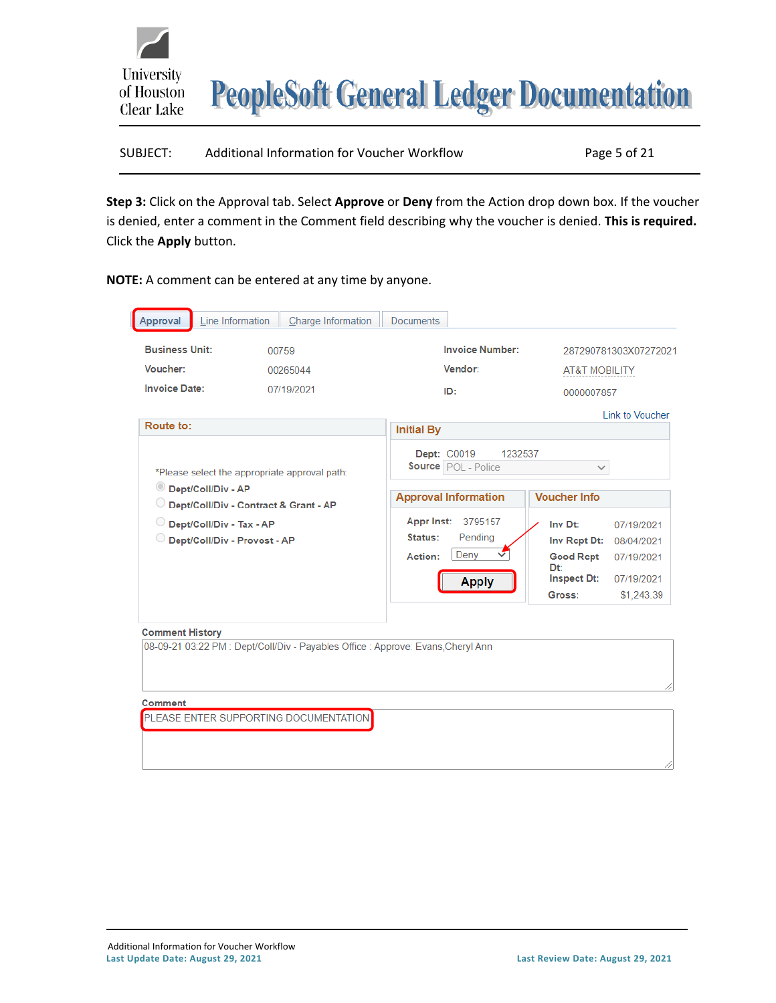

| SUBJECT: | Additional Information for Voucher Workflow | Page 5 of 21 |
|----------|---------------------------------------------|--------------|
|          |                                             |              |

**Step 3:** Click on the Approval tab. Select **Approve** or **Deny** from the Action drop down box. If the voucher is denied, enter a comment in the Comment field describing why the voucher is denied. **This is required.** Click the **Apply** button.

**NOTE:** A comment can be entered at any time by anyone.

| Line Information<br>Approval                                                   | Charge Information                                                                     | <b>Documents</b>                                                                                                                                                                                         |                                                                                                                                                                                                 |
|--------------------------------------------------------------------------------|----------------------------------------------------------------------------------------|----------------------------------------------------------------------------------------------------------------------------------------------------------------------------------------------------------|-------------------------------------------------------------------------------------------------------------------------------------------------------------------------------------------------|
| <b>Business Unit:</b><br>Voucher:<br><b>Invoice Date:</b>                      | 00759<br>00265044<br>07/19/2021                                                        | <b>Invoice Number:</b><br>Vendor:                                                                                                                                                                        | 287290781303X07272021<br><b>AT&amp;T MOBILITY</b>                                                                                                                                               |
| Route to:                                                                      |                                                                                        | ID:                                                                                                                                                                                                      | 0000007857<br><b>Link to Voucher</b>                                                                                                                                                            |
| Dept/Coll/Div - AP<br>Dept/Coll/Div - Tax - AP<br>Dept/Coll/Div - Provost - AP | *Please select the appropriate approval path:<br>Dept/Coll/Div - Contract & Grant - AP | <b>Initial By</b><br><b>Dept: C0019</b><br>1232537<br><b>Source</b> POL - Police<br><b>Approval Information</b><br><b>Appr Inst:</b><br>3795157<br>Status:<br>Pending<br>Deny<br>Action:<br><b>Apply</b> | $\checkmark$<br><b>Voucher Info</b><br>Inv Dt:<br>07/19/2021<br>Inv Rept Dt:<br>08/04/2021<br><b>Good Rcpt</b><br>07/19/2021<br>Dt:<br><b>Inspect Dt:</b><br>07/19/2021<br>\$1,243.39<br>Gross: |
| <b>Comment History</b>                                                         | 08-09-21 03:22 PM : Dept/Coll/Div - Payables Office : Approve: Evans, Cheryl Ann       |                                                                                                                                                                                                          |                                                                                                                                                                                                 |
| Comment                                                                        | PLEASE ENTER SUPPORTING DOCUMENTATION                                                  |                                                                                                                                                                                                          |                                                                                                                                                                                                 |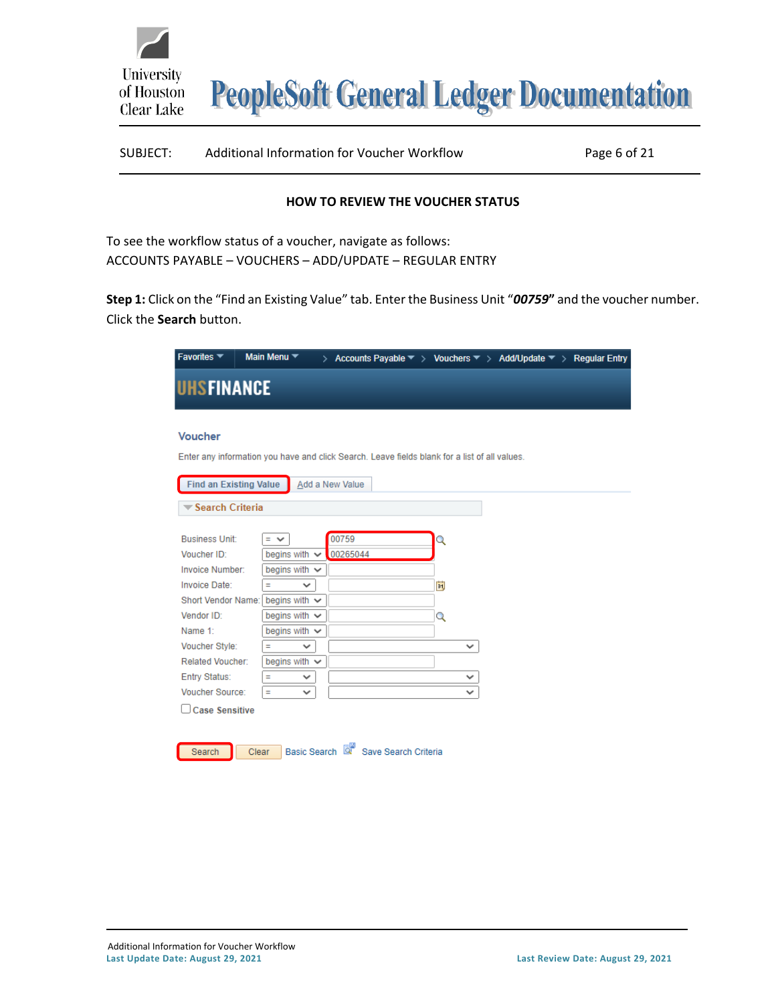

| Page 6 of 21 |
|--------------|
|              |

#### **HOW TO REVIEW THE VOUCHER STATUS**

<span id="page-5-0"></span>

| To see the workflow status of a voucher, navigate as follows: |
|---------------------------------------------------------------|
| ACCOUNTS PAYABLE - VOUCHERS - ADD/UPDATE - REGULAR ENTRY      |

**Step 1:** Click on the "Find an Existing Value" tab. Enter the Business Unit "*00759***"** and the voucher number. Click the **Search** button.

| Favorites $\blacktriangledown$                                                                |       | Main Menu <sup>▼</sup> |                 |                                     |              | > Accounts Payable $\overline{\phantom{a}}$ > Vouchers $\overline{\phantom{a}}$ > Add/Update $\overline{\phantom{a}}$ > Regular Entry |  |
|-----------------------------------------------------------------------------------------------|-------|------------------------|-----------------|-------------------------------------|--------------|---------------------------------------------------------------------------------------------------------------------------------------|--|
| <b>UHSFINANCE</b>                                                                             |       |                        |                 |                                     |              |                                                                                                                                       |  |
| <b>Voucher</b>                                                                                |       |                        |                 |                                     |              |                                                                                                                                       |  |
| Enter any information you have and click Search. Leave fields blank for a list of all values. |       |                        |                 |                                     |              |                                                                                                                                       |  |
| <b>Find an Existing Value</b><br><b>▼ Search Criteria</b>                                     |       |                        | Add a New Value |                                     |              |                                                                                                                                       |  |
| <b>Business Unit:</b>                                                                         |       | $=$ $\vee$             | 00759           |                                     | Q            |                                                                                                                                       |  |
| Voucher ID:                                                                                   |       | begins with $\sim$     | 00265044        |                                     |              |                                                                                                                                       |  |
| Invoice Number:                                                                               |       | begins with $\vee$     |                 |                                     |              |                                                                                                                                       |  |
| Invoice Date:                                                                                 |       | $\checkmark$<br>Ξ      |                 |                                     | Þij          |                                                                                                                                       |  |
| <b>Short Vendor Name:</b>                                                                     |       | begins with $\sim$     |                 |                                     |              |                                                                                                                                       |  |
| Vendor ID:                                                                                    |       | begins with $\sim$     |                 |                                     | Q            |                                                                                                                                       |  |
| Name 1:                                                                                       |       | begins with $\sim$     |                 |                                     |              |                                                                                                                                       |  |
| Voucher Style:                                                                                |       | Ξ<br>$\checkmark$      |                 |                                     | $\checkmark$ |                                                                                                                                       |  |
| Related Voucher:                                                                              |       | begins with $\sim$     |                 |                                     |              |                                                                                                                                       |  |
| Entry Status:                                                                                 |       | Ξ<br>v                 |                 |                                     | v            |                                                                                                                                       |  |
| Voucher Source:                                                                               |       | Ξ<br>$\checkmark$      |                 |                                     | $\checkmark$ |                                                                                                                                       |  |
| <b>Case Sensitive</b>                                                                         |       |                        |                 |                                     |              |                                                                                                                                       |  |
|                                                                                               |       |                        |                 |                                     |              |                                                                                                                                       |  |
|                                                                                               |       |                        |                 |                                     |              |                                                                                                                                       |  |
| Search                                                                                        | Clear |                        |                 | Basic Search & Save Search Criteria |              |                                                                                                                                       |  |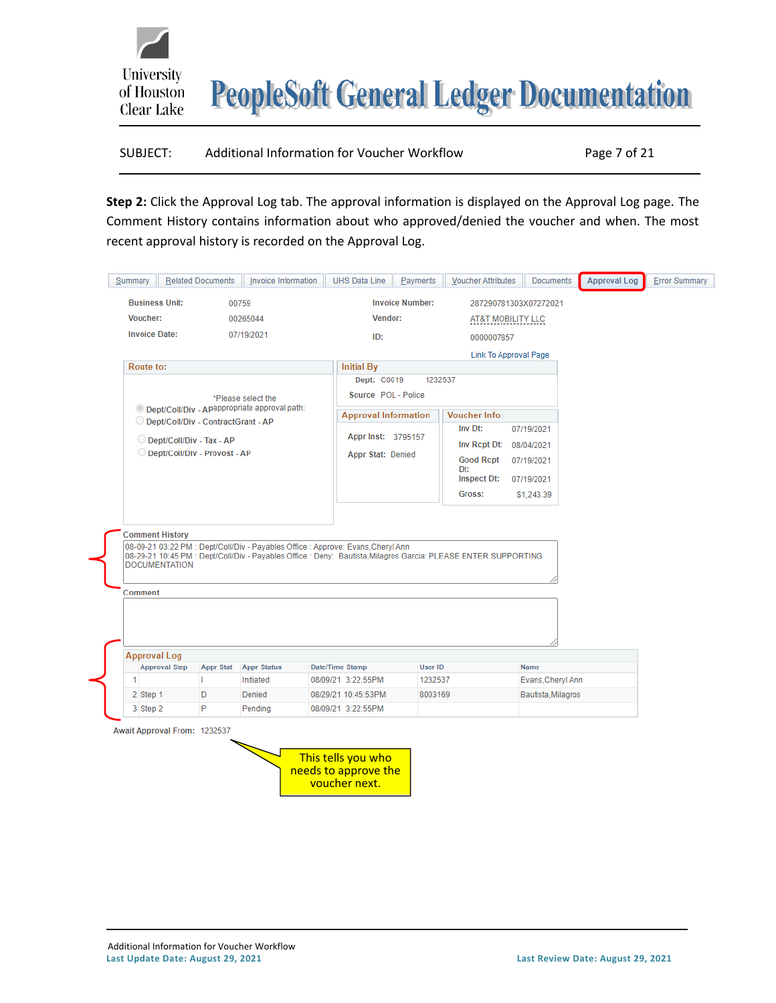## SUBJECT: Additional Information for Voucher Workflow Page 7 of 21

**Step 2:** Click the Approval Log tab. The approval information is displayed on the Approval Log page. The Comment History contains information about who approved/denied the voucher and when. The most recent approval history is recorded on the Approval Log.

| <b>Business Unit:</b>               |                          |                                                |                                                                                  |                             |                                                                                                                |                       |  |
|-------------------------------------|--------------------------|------------------------------------------------|----------------------------------------------------------------------------------|-----------------------------|----------------------------------------------------------------------------------------------------------------|-----------------------|--|
|                                     |                          | 00759                                          |                                                                                  | <b>Invoice Number:</b>      |                                                                                                                | 287290781303X07272021 |  |
| Voucher:                            |                          | 00265044                                       |                                                                                  | Vendor:                     | AT&T MOBILITY LLC                                                                                              |                       |  |
| <b>Invoice Date:</b>                |                          | 07/19/2021                                     |                                                                                  | ID:                         | 0000007857                                                                                                     |                       |  |
|                                     |                          |                                                |                                                                                  |                             |                                                                                                                | Link To Approval Page |  |
| Route to:                           |                          |                                                | <b>Initial By</b>                                                                |                             |                                                                                                                |                       |  |
|                                     |                          |                                                |                                                                                  | Dept: C0019                 | 1232537                                                                                                        |                       |  |
|                                     |                          | *Please select the                             |                                                                                  | Source POL - Police         |                                                                                                                |                       |  |
|                                     |                          | © Dept/Coll/Div - Apappropriate approval path: |                                                                                  | <b>Approval Information</b> | <b>Voucher Info</b>                                                                                            |                       |  |
| Dept/Coll/Div - ContractGrant - AP  |                          |                                                |                                                                                  |                             | Inv Dt:                                                                                                        | 07/19/2021            |  |
| 0                                   | Dept/Coll/Div - Tax - AP |                                                |                                                                                  | Appr Inst: 3795157          | Inv Rept Dt:                                                                                                   | 08/04/2021            |  |
| Dept/Coll/Div - Provost - AP        |                          |                                                |                                                                                  | Appr Stat: Denied           | <b>Good Rcpt</b>                                                                                               | 07/19/2021            |  |
|                                     |                          |                                                |                                                                                  |                             | Dt:<br>Inspect Dt:                                                                                             |                       |  |
|                                     |                          |                                                |                                                                                  |                             |                                                                                                                | 07/19/2021            |  |
|                                     |                          |                                                |                                                                                  |                             | Gross:                                                                                                         | \$1,243.39            |  |
| <b>Comment History</b>              |                          |                                                | 08-09-21 03:22 PM : Dept/Coll/Div - Payables Office : Approve: Evans, Cheryl Ann |                             |                                                                                                                |                       |  |
| <b>DOCUMENTATION</b>                |                          |                                                |                                                                                  |                             | 08-29-21 10:45 PM : Dept/Coll/Div - Payables Office : Deny: Bautista, Milagros Garcia: PLEASE ENTER SUPPORTING |                       |  |
| Comment                             |                          |                                                |                                                                                  |                             |                                                                                                                |                       |  |
|                                     |                          |                                                |                                                                                  |                             |                                                                                                                |                       |  |
| <b>Approval Log</b>                 |                          |                                                |                                                                                  |                             |                                                                                                                |                       |  |
| <b>Approval Step</b>                | <b>Appr Stat</b>         | <b>Appr Status</b>                             | Date/Time Stamp                                                                  | <b>User ID</b>              |                                                                                                                | <b>Name</b>           |  |
| 1                                   |                          | Initiated                                      | 08/09/21 3:22:55PM                                                               |                             | 1232537                                                                                                        | Evans, Cheryl Ann     |  |
| 2 Step 1                            | D                        | Denied                                         | 08/29/21 10:45:53PM                                                              |                             | 8003169                                                                                                        | Bautista, Milagros    |  |
| 3 Step 2                            | P                        | Pending                                        | 08/09/21 3:22:55PM                                                               |                             |                                                                                                                |                       |  |
| <b>Await Approval From: 1232537</b> |                          |                                                |                                                                                  |                             |                                                                                                                |                       |  |
|                                     |                          |                                                | This tells you who                                                               |                             |                                                                                                                |                       |  |

University

of Houston Clear Lake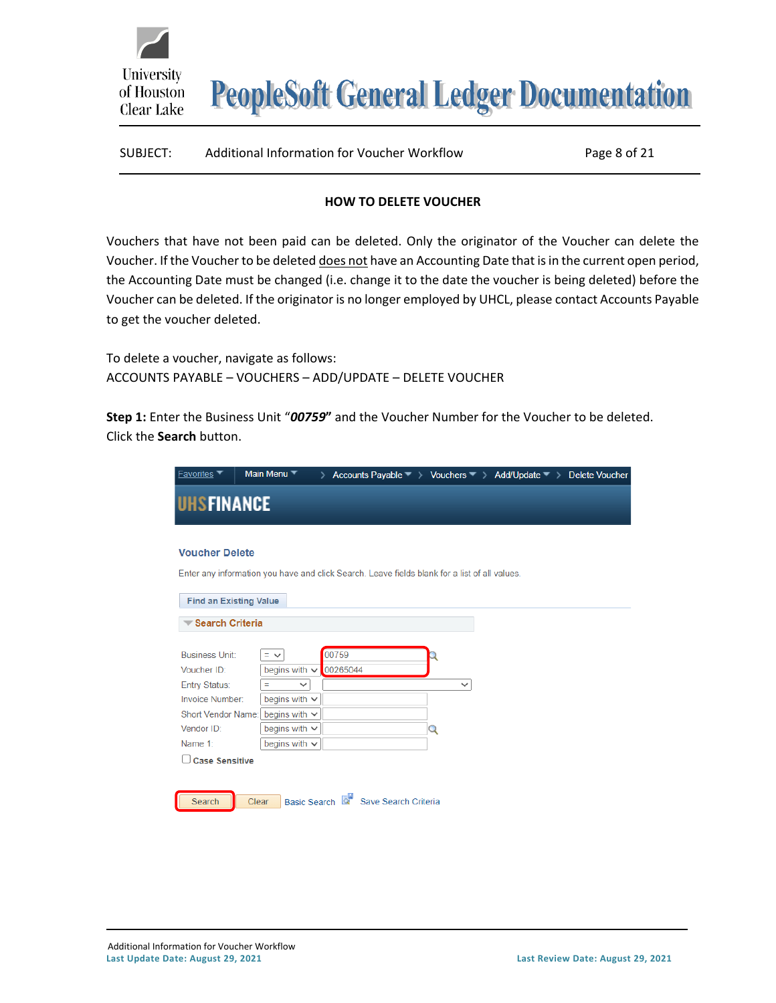| Additional Information for Voucher Workflow<br>SUBJECT: | Page 8 of 21 |
|---------------------------------------------------------|--------------|
|---------------------------------------------------------|--------------|

#### **HOW TO DELETE VOUCHER**

Vouchers that have not been paid can be deleted. Only the originator of the Voucher can delete the Voucher. If the Voucher to be deleted does not have an Accounting Date that is in the current open period, the Accounting Date must be changed (i.e. change it to the date the voucher is being deleted) before the Voucher can be deleted. If the originator is no longer employed by UHCL, please contact Accounts Payable to get the voucher deleted.

To delete a voucher, navigate as follows: ACCOUNTS PAYABLE – VOUCHERS – ADD/UPDATE – DELETE VOUCHER

University

of Houston Clear Lake

**Step 1:** Enter the Business Unit "*00759***"** and the Voucher Number for the Voucher to be deleted. Click the **Search** button.

| <b>Favorites</b> ▼                                                                                                             | Main Menu                                                                                                                                     | ⋋                                          |                   | Accounts Payable $\blacktriangledown$ > Vouchers $\blacktriangledown$ > Add/Update $\blacktriangledown$ > Delete Voucher |  |
|--------------------------------------------------------------------------------------------------------------------------------|-----------------------------------------------------------------------------------------------------------------------------------------------|--------------------------------------------|-------------------|--------------------------------------------------------------------------------------------------------------------------|--|
| <b>UHSFINANCE</b>                                                                                                              |                                                                                                                                               |                                            |                   |                                                                                                                          |  |
| <b>Voucher Delete</b>                                                                                                          | Enter any information you have and click Search. Leave fields blank for a list of all values.                                                 |                                            |                   |                                                                                                                          |  |
| <b>Find an Existing Value</b>                                                                                                  |                                                                                                                                               |                                            |                   |                                                                                                                          |  |
| <b>Search Criteria</b>                                                                                                         |                                                                                                                                               |                                            |                   |                                                                                                                          |  |
| <b>Business Unit:</b><br>Voucher ID:<br>Entry Status:<br><b>Invoice Number:</b><br>Short Vendor Name:<br>Vendor ID:<br>Name 1: | $=$ $\vee$<br>begins with $\sim$<br>Ξ<br>$\checkmark$<br>begins with $\vee$<br>begins with $\vee$<br>begins with $\vee$<br>begins with $\sim$ | 00759<br>00265044                          | $\checkmark$<br>Q |                                                                                                                          |  |
| <b>Case Sensitive</b>                                                                                                          |                                                                                                                                               |                                            |                   |                                                                                                                          |  |
| Search                                                                                                                         | Clear                                                                                                                                         | Basic Search <b>Q</b> Save Search Criteria |                   |                                                                                                                          |  |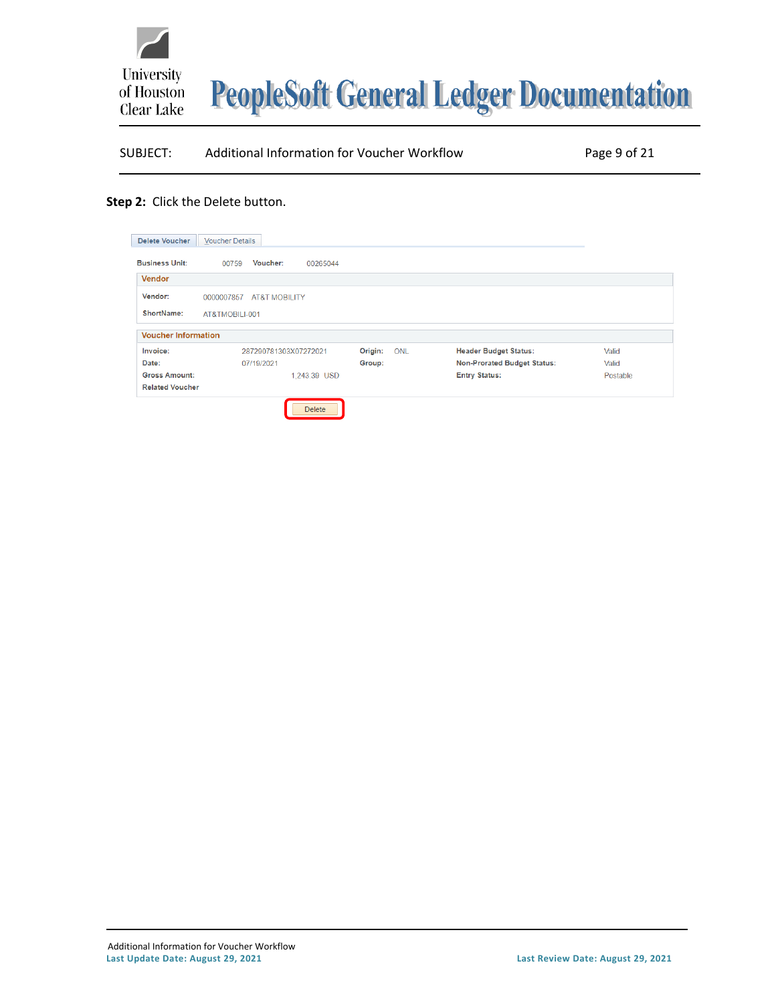

### SUBJECT: Additional Information for Voucher Workflow Page 9 of 21

#### **Step 2:** Click the Delete button.

| <b>Delete Voucher</b>      | <b>Voucher Details</b>                 |              |     |                                    |          |
|----------------------------|----------------------------------------|--------------|-----|------------------------------------|----------|
| <b>Business Unit:</b>      | Voucher:<br>00759                      | 00265044     |     |                                    |          |
| <b>Vendor</b>              |                                        |              |     |                                    |          |
| Vendor:                    | 0000007857<br><b>AT&amp;T MOBILITY</b> |              |     |                                    |          |
| ShortName:                 | AT&TMOBILI-001                         |              |     |                                    |          |
| <b>Voucher Information</b> |                                        |              |     |                                    |          |
| Invoice:                   | 287290781303X07272021                  | Origin:      | ONL | <b>Header Budget Status:</b>       | Valid    |
| Date:                      | 07/19/2021                             | Group:       |     | <b>Non-Prorated Budget Status:</b> | Valid    |
| <b>Gross Amount:</b>       |                                        | 1,243.39 USD |     | <b>Entry Status:</b>               | Postable |
| <b>Related Voucher</b>     |                                        |              |     |                                    |          |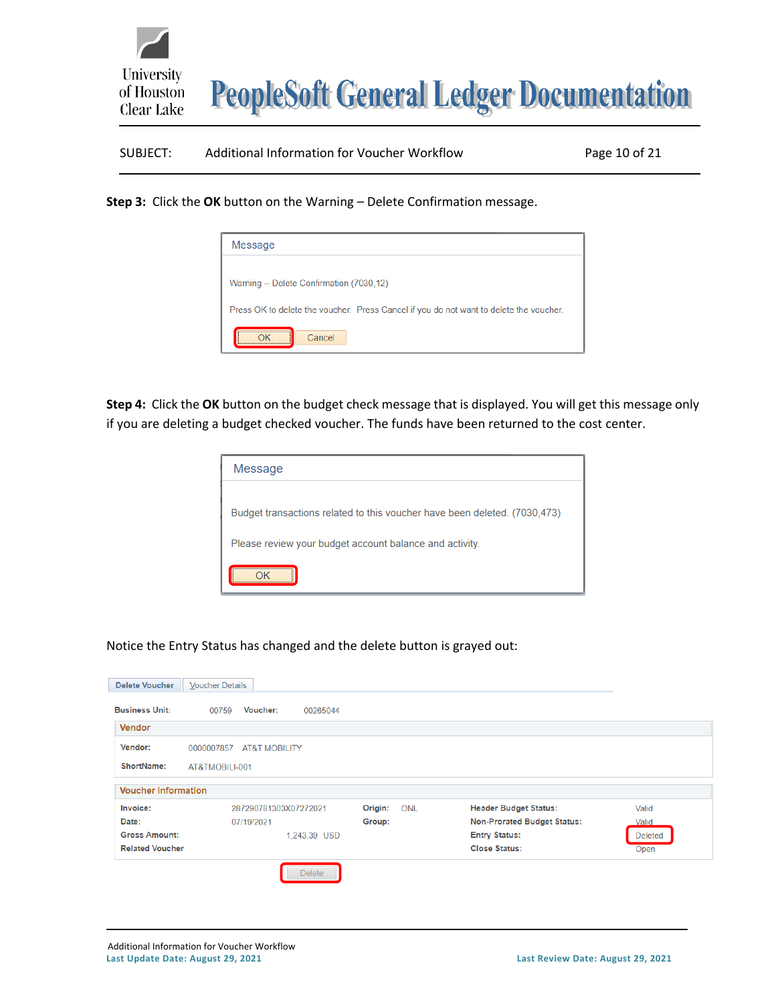

# SUBJECT: Additional Information for Voucher Workflow Page 10 of 21

**Step 3:** Click the **OK** button on the Warning – Delete Confirmation message.

| Message                                                                                |
|----------------------------------------------------------------------------------------|
| Warning -- Delete Confirmation (7030,12)                                               |
| Press OK to delete the voucher. Press Cancel if you do not want to delete the voucher. |
| <br>Cancel                                                                             |

**Step 4:** Click the **OK** button on the budget check message that is displayed. You will get this message only if you are deleting a budget checked voucher. The funds have been returned to the cost center.

| Message                                                                   |
|---------------------------------------------------------------------------|
|                                                                           |
| Budget transactions related to this voucher have been deleted. (7030,473) |
| Please review your budget account balance and activity.                   |
|                                                                           |

Notice the Entry Status has changed and the delete button is grayed out:

| <b>Delete Voucher</b>      | <b>Voucher Details</b>                 |                       |                                    |                |
|----------------------------|----------------------------------------|-----------------------|------------------------------------|----------------|
| <b>Business Unit:</b>      | <b>Voucher:</b><br>00759<br>00265044   |                       |                                    |                |
| <b>Vendor</b>              |                                        |                       |                                    |                |
| Vendor:                    | 0000007857<br><b>AT&amp;T MOBILITY</b> |                       |                                    |                |
| ShortName:                 | AT&TMOBILI-001                         |                       |                                    |                |
| <b>Voucher Information</b> |                                        |                       |                                    |                |
| Invoice:                   | 287290781303X07272021                  | Origin:<br><b>ONL</b> | <b>Header Budget Status:</b>       | Valid          |
| Date:                      | 07/19/2021                             | Group:                | <b>Non-Prorated Budget Status:</b> | Valid          |
| <b>Gross Amount:</b>       | 1,243.39 USD                           |                       | <b>Entry Status:</b>               | <b>Deleted</b> |
| <b>Related Voucher</b>     |                                        |                       | <b>Close Status:</b>               | Open           |
|                            | <b>Delete</b>                          |                       |                                    |                |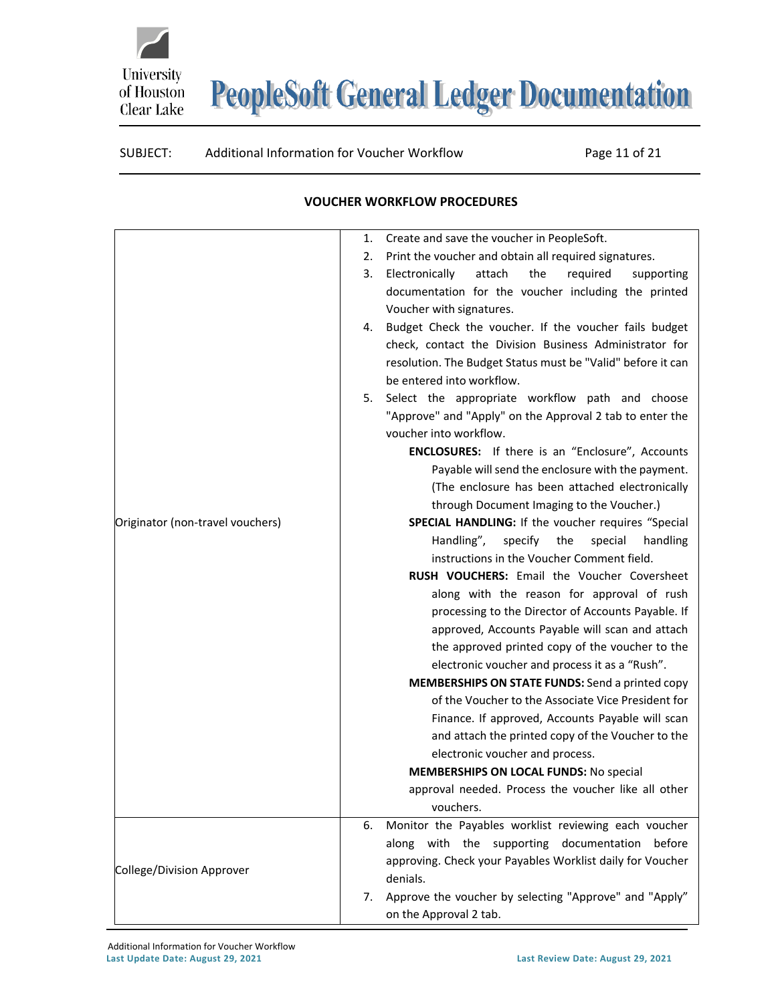### SUBJECT: Additional Information for Voucher Workflow Page 11 of 21

University

of Houston Clear Lake

<span id="page-10-0"></span>

| Print the voucher and obtain all required signatures.<br>2.<br>Electronically<br>attach<br>the<br>required<br>3.<br>supporting<br>documentation for the voucher including the printed<br>Voucher with signatures.<br>Budget Check the voucher. If the voucher fails budget<br>4.<br>check, contact the Division Business Administrator for<br>resolution. The Budget Status must be "Valid" before it can<br>be entered into workflow.<br>Select the appropriate workflow path and choose<br>5.<br>"Approve" and "Apply" on the Approval 2 tab to enter the<br>voucher into workflow.<br><b>ENCLOSURES:</b> If there is an "Enclosure", Accounts<br>Payable will send the enclosure with the payment.<br>(The enclosure has been attached electronically<br>through Document Imaging to the Voucher.)<br>Originator (non-travel vouchers)<br>SPECIAL HANDLING: If the voucher requires "Special<br>Handling",<br>specify<br>the<br>special<br>handling<br>instructions in the Voucher Comment field.<br><b>RUSH VOUCHERS:</b> Email the Voucher Coversheet<br>along with the reason for approval of rush<br>processing to the Director of Accounts Payable. If<br>approved, Accounts Payable will scan and attach<br>the approved printed copy of the voucher to the<br>electronic voucher and process it as a "Rush".<br><b>MEMBERSHIPS ON STATE FUNDS:</b> Send a printed copy<br>of the Voucher to the Associate Vice President for<br>Finance. If approved, Accounts Payable will scan<br>and attach the printed copy of the Voucher to the<br>electronic voucher and process.<br><b>MEMBERSHIPS ON LOCAL FUNDS: No special</b><br>approval needed. Process the voucher like all other<br>vouchers.<br>Monitor the Payables worklist reviewing each voucher<br>6.<br>along with the supporting documentation<br>before<br>approving. Check your Payables Worklist daily for Voucher<br>College/Division Approver<br>denials.<br>Approve the voucher by selecting "Approve" and "Apply"<br>7.<br>on the Approval 2 tab. | 1. | Create and save the voucher in PeopleSoft. |
|----------------------------------------------------------------------------------------------------------------------------------------------------------------------------------------------------------------------------------------------------------------------------------------------------------------------------------------------------------------------------------------------------------------------------------------------------------------------------------------------------------------------------------------------------------------------------------------------------------------------------------------------------------------------------------------------------------------------------------------------------------------------------------------------------------------------------------------------------------------------------------------------------------------------------------------------------------------------------------------------------------------------------------------------------------------------------------------------------------------------------------------------------------------------------------------------------------------------------------------------------------------------------------------------------------------------------------------------------------------------------------------------------------------------------------------------------------------------------------------------------------------------------------------------------------------------------------------------------------------------------------------------------------------------------------------------------------------------------------------------------------------------------------------------------------------------------------------------------------------------------------------------------------------------------------------------------------------------------------------------------------------------------|----|--------------------------------------------|
|                                                                                                                                                                                                                                                                                                                                                                                                                                                                                                                                                                                                                                                                                                                                                                                                                                                                                                                                                                                                                                                                                                                                                                                                                                                                                                                                                                                                                                                                                                                                                                                                                                                                                                                                                                                                                                                                                                                                                                                                                            |    |                                            |
|                                                                                                                                                                                                                                                                                                                                                                                                                                                                                                                                                                                                                                                                                                                                                                                                                                                                                                                                                                                                                                                                                                                                                                                                                                                                                                                                                                                                                                                                                                                                                                                                                                                                                                                                                                                                                                                                                                                                                                                                                            |    |                                            |
|                                                                                                                                                                                                                                                                                                                                                                                                                                                                                                                                                                                                                                                                                                                                                                                                                                                                                                                                                                                                                                                                                                                                                                                                                                                                                                                                                                                                                                                                                                                                                                                                                                                                                                                                                                                                                                                                                                                                                                                                                            |    |                                            |
|                                                                                                                                                                                                                                                                                                                                                                                                                                                                                                                                                                                                                                                                                                                                                                                                                                                                                                                                                                                                                                                                                                                                                                                                                                                                                                                                                                                                                                                                                                                                                                                                                                                                                                                                                                                                                                                                                                                                                                                                                            |    |                                            |
|                                                                                                                                                                                                                                                                                                                                                                                                                                                                                                                                                                                                                                                                                                                                                                                                                                                                                                                                                                                                                                                                                                                                                                                                                                                                                                                                                                                                                                                                                                                                                                                                                                                                                                                                                                                                                                                                                                                                                                                                                            |    |                                            |
|                                                                                                                                                                                                                                                                                                                                                                                                                                                                                                                                                                                                                                                                                                                                                                                                                                                                                                                                                                                                                                                                                                                                                                                                                                                                                                                                                                                                                                                                                                                                                                                                                                                                                                                                                                                                                                                                                                                                                                                                                            |    |                                            |
|                                                                                                                                                                                                                                                                                                                                                                                                                                                                                                                                                                                                                                                                                                                                                                                                                                                                                                                                                                                                                                                                                                                                                                                                                                                                                                                                                                                                                                                                                                                                                                                                                                                                                                                                                                                                                                                                                                                                                                                                                            |    |                                            |
|                                                                                                                                                                                                                                                                                                                                                                                                                                                                                                                                                                                                                                                                                                                                                                                                                                                                                                                                                                                                                                                                                                                                                                                                                                                                                                                                                                                                                                                                                                                                                                                                                                                                                                                                                                                                                                                                                                                                                                                                                            |    |                                            |
|                                                                                                                                                                                                                                                                                                                                                                                                                                                                                                                                                                                                                                                                                                                                                                                                                                                                                                                                                                                                                                                                                                                                                                                                                                                                                                                                                                                                                                                                                                                                                                                                                                                                                                                                                                                                                                                                                                                                                                                                                            |    |                                            |
|                                                                                                                                                                                                                                                                                                                                                                                                                                                                                                                                                                                                                                                                                                                                                                                                                                                                                                                                                                                                                                                                                                                                                                                                                                                                                                                                                                                                                                                                                                                                                                                                                                                                                                                                                                                                                                                                                                                                                                                                                            |    |                                            |
|                                                                                                                                                                                                                                                                                                                                                                                                                                                                                                                                                                                                                                                                                                                                                                                                                                                                                                                                                                                                                                                                                                                                                                                                                                                                                                                                                                                                                                                                                                                                                                                                                                                                                                                                                                                                                                                                                                                                                                                                                            |    |                                            |
|                                                                                                                                                                                                                                                                                                                                                                                                                                                                                                                                                                                                                                                                                                                                                                                                                                                                                                                                                                                                                                                                                                                                                                                                                                                                                                                                                                                                                                                                                                                                                                                                                                                                                                                                                                                                                                                                                                                                                                                                                            |    |                                            |
|                                                                                                                                                                                                                                                                                                                                                                                                                                                                                                                                                                                                                                                                                                                                                                                                                                                                                                                                                                                                                                                                                                                                                                                                                                                                                                                                                                                                                                                                                                                                                                                                                                                                                                                                                                                                                                                                                                                                                                                                                            |    |                                            |
|                                                                                                                                                                                                                                                                                                                                                                                                                                                                                                                                                                                                                                                                                                                                                                                                                                                                                                                                                                                                                                                                                                                                                                                                                                                                                                                                                                                                                                                                                                                                                                                                                                                                                                                                                                                                                                                                                                                                                                                                                            |    |                                            |
|                                                                                                                                                                                                                                                                                                                                                                                                                                                                                                                                                                                                                                                                                                                                                                                                                                                                                                                                                                                                                                                                                                                                                                                                                                                                                                                                                                                                                                                                                                                                                                                                                                                                                                                                                                                                                                                                                                                                                                                                                            |    |                                            |
|                                                                                                                                                                                                                                                                                                                                                                                                                                                                                                                                                                                                                                                                                                                                                                                                                                                                                                                                                                                                                                                                                                                                                                                                                                                                                                                                                                                                                                                                                                                                                                                                                                                                                                                                                                                                                                                                                                                                                                                                                            |    |                                            |
|                                                                                                                                                                                                                                                                                                                                                                                                                                                                                                                                                                                                                                                                                                                                                                                                                                                                                                                                                                                                                                                                                                                                                                                                                                                                                                                                                                                                                                                                                                                                                                                                                                                                                                                                                                                                                                                                                                                                                                                                                            |    |                                            |
|                                                                                                                                                                                                                                                                                                                                                                                                                                                                                                                                                                                                                                                                                                                                                                                                                                                                                                                                                                                                                                                                                                                                                                                                                                                                                                                                                                                                                                                                                                                                                                                                                                                                                                                                                                                                                                                                                                                                                                                                                            |    |                                            |
|                                                                                                                                                                                                                                                                                                                                                                                                                                                                                                                                                                                                                                                                                                                                                                                                                                                                                                                                                                                                                                                                                                                                                                                                                                                                                                                                                                                                                                                                                                                                                                                                                                                                                                                                                                                                                                                                                                                                                                                                                            |    |                                            |
|                                                                                                                                                                                                                                                                                                                                                                                                                                                                                                                                                                                                                                                                                                                                                                                                                                                                                                                                                                                                                                                                                                                                                                                                                                                                                                                                                                                                                                                                                                                                                                                                                                                                                                                                                                                                                                                                                                                                                                                                                            |    |                                            |
|                                                                                                                                                                                                                                                                                                                                                                                                                                                                                                                                                                                                                                                                                                                                                                                                                                                                                                                                                                                                                                                                                                                                                                                                                                                                                                                                                                                                                                                                                                                                                                                                                                                                                                                                                                                                                                                                                                                                                                                                                            |    |                                            |
|                                                                                                                                                                                                                                                                                                                                                                                                                                                                                                                                                                                                                                                                                                                                                                                                                                                                                                                                                                                                                                                                                                                                                                                                                                                                                                                                                                                                                                                                                                                                                                                                                                                                                                                                                                                                                                                                                                                                                                                                                            |    |                                            |
|                                                                                                                                                                                                                                                                                                                                                                                                                                                                                                                                                                                                                                                                                                                                                                                                                                                                                                                                                                                                                                                                                                                                                                                                                                                                                                                                                                                                                                                                                                                                                                                                                                                                                                                                                                                                                                                                                                                                                                                                                            |    |                                            |
|                                                                                                                                                                                                                                                                                                                                                                                                                                                                                                                                                                                                                                                                                                                                                                                                                                                                                                                                                                                                                                                                                                                                                                                                                                                                                                                                                                                                                                                                                                                                                                                                                                                                                                                                                                                                                                                                                                                                                                                                                            |    |                                            |
|                                                                                                                                                                                                                                                                                                                                                                                                                                                                                                                                                                                                                                                                                                                                                                                                                                                                                                                                                                                                                                                                                                                                                                                                                                                                                                                                                                                                                                                                                                                                                                                                                                                                                                                                                                                                                                                                                                                                                                                                                            |    |                                            |
|                                                                                                                                                                                                                                                                                                                                                                                                                                                                                                                                                                                                                                                                                                                                                                                                                                                                                                                                                                                                                                                                                                                                                                                                                                                                                                                                                                                                                                                                                                                                                                                                                                                                                                                                                                                                                                                                                                                                                                                                                            |    |                                            |
|                                                                                                                                                                                                                                                                                                                                                                                                                                                                                                                                                                                                                                                                                                                                                                                                                                                                                                                                                                                                                                                                                                                                                                                                                                                                                                                                                                                                                                                                                                                                                                                                                                                                                                                                                                                                                                                                                                                                                                                                                            |    |                                            |
|                                                                                                                                                                                                                                                                                                                                                                                                                                                                                                                                                                                                                                                                                                                                                                                                                                                                                                                                                                                                                                                                                                                                                                                                                                                                                                                                                                                                                                                                                                                                                                                                                                                                                                                                                                                                                                                                                                                                                                                                                            |    |                                            |
|                                                                                                                                                                                                                                                                                                                                                                                                                                                                                                                                                                                                                                                                                                                                                                                                                                                                                                                                                                                                                                                                                                                                                                                                                                                                                                                                                                                                                                                                                                                                                                                                                                                                                                                                                                                                                                                                                                                                                                                                                            |    |                                            |
|                                                                                                                                                                                                                                                                                                                                                                                                                                                                                                                                                                                                                                                                                                                                                                                                                                                                                                                                                                                                                                                                                                                                                                                                                                                                                                                                                                                                                                                                                                                                                                                                                                                                                                                                                                                                                                                                                                                                                                                                                            |    |                                            |
|                                                                                                                                                                                                                                                                                                                                                                                                                                                                                                                                                                                                                                                                                                                                                                                                                                                                                                                                                                                                                                                                                                                                                                                                                                                                                                                                                                                                                                                                                                                                                                                                                                                                                                                                                                                                                                                                                                                                                                                                                            |    |                                            |
|                                                                                                                                                                                                                                                                                                                                                                                                                                                                                                                                                                                                                                                                                                                                                                                                                                                                                                                                                                                                                                                                                                                                                                                                                                                                                                                                                                                                                                                                                                                                                                                                                                                                                                                                                                                                                                                                                                                                                                                                                            |    |                                            |
|                                                                                                                                                                                                                                                                                                                                                                                                                                                                                                                                                                                                                                                                                                                                                                                                                                                                                                                                                                                                                                                                                                                                                                                                                                                                                                                                                                                                                                                                                                                                                                                                                                                                                                                                                                                                                                                                                                                                                                                                                            |    |                                            |
|                                                                                                                                                                                                                                                                                                                                                                                                                                                                                                                                                                                                                                                                                                                                                                                                                                                                                                                                                                                                                                                                                                                                                                                                                                                                                                                                                                                                                                                                                                                                                                                                                                                                                                                                                                                                                                                                                                                                                                                                                            |    |                                            |
|                                                                                                                                                                                                                                                                                                                                                                                                                                                                                                                                                                                                                                                                                                                                                                                                                                                                                                                                                                                                                                                                                                                                                                                                                                                                                                                                                                                                                                                                                                                                                                                                                                                                                                                                                                                                                                                                                                                                                                                                                            |    |                                            |
|                                                                                                                                                                                                                                                                                                                                                                                                                                                                                                                                                                                                                                                                                                                                                                                                                                                                                                                                                                                                                                                                                                                                                                                                                                                                                                                                                                                                                                                                                                                                                                                                                                                                                                                                                                                                                                                                                                                                                                                                                            |    |                                            |
|                                                                                                                                                                                                                                                                                                                                                                                                                                                                                                                                                                                                                                                                                                                                                                                                                                                                                                                                                                                                                                                                                                                                                                                                                                                                                                                                                                                                                                                                                                                                                                                                                                                                                                                                                                                                                                                                                                                                                                                                                            |    |                                            |
|                                                                                                                                                                                                                                                                                                                                                                                                                                                                                                                                                                                                                                                                                                                                                                                                                                                                                                                                                                                                                                                                                                                                                                                                                                                                                                                                                                                                                                                                                                                                                                                                                                                                                                                                                                                                                                                                                                                                                                                                                            |    |                                            |

#### **VOUCHER WORKFLOW PROCEDURES**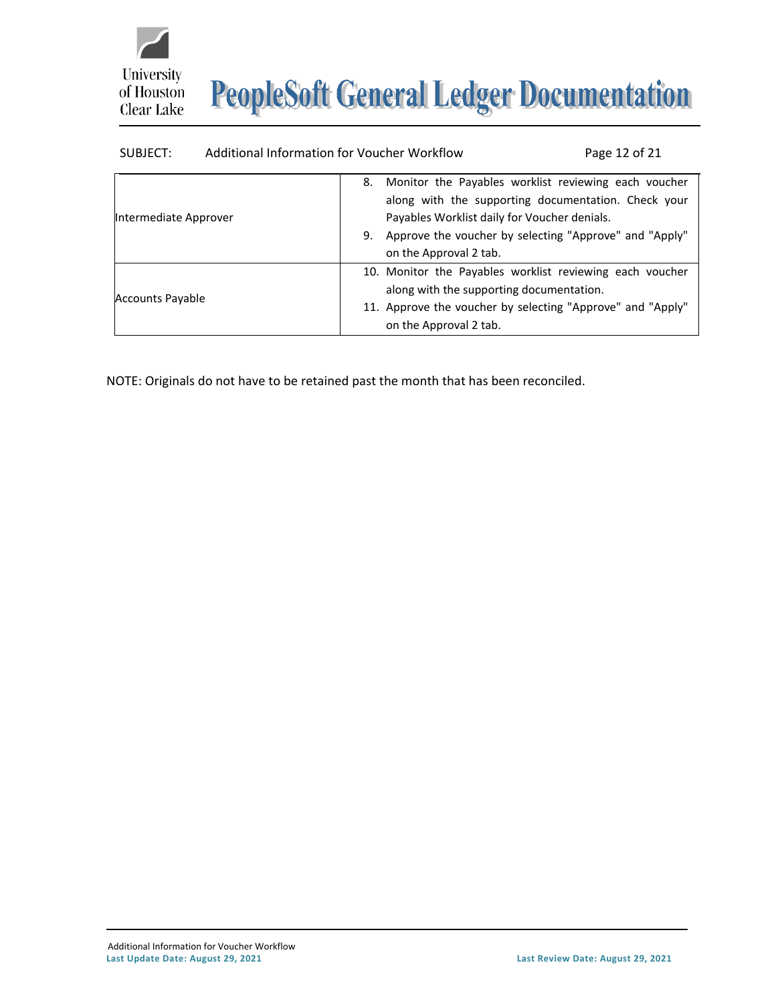



| SUBJECT:                | Additional Information for Voucher Workflow                                        | Page 12 of 21                                                                                                                                                         |
|-------------------------|------------------------------------------------------------------------------------|-----------------------------------------------------------------------------------------------------------------------------------------------------------------------|
| Intermediate Approver   | 8.<br>Payables Worklist daily for Voucher denials.<br>9.<br>on the Approval 2 tab. | Monitor the Payables worklist reviewing each voucher<br>along with the supporting documentation. Check your<br>Approve the voucher by selecting "Approve" and "Apply" |
| <b>Accounts Payable</b> | along with the supporting documentation.<br>on the Approval 2 tab.                 | 10. Monitor the Payables worklist reviewing each voucher<br>11. Approve the voucher by selecting "Approve" and "Apply"                                                |

NOTE: Originals do not have to be retained past the month that has been reconciled.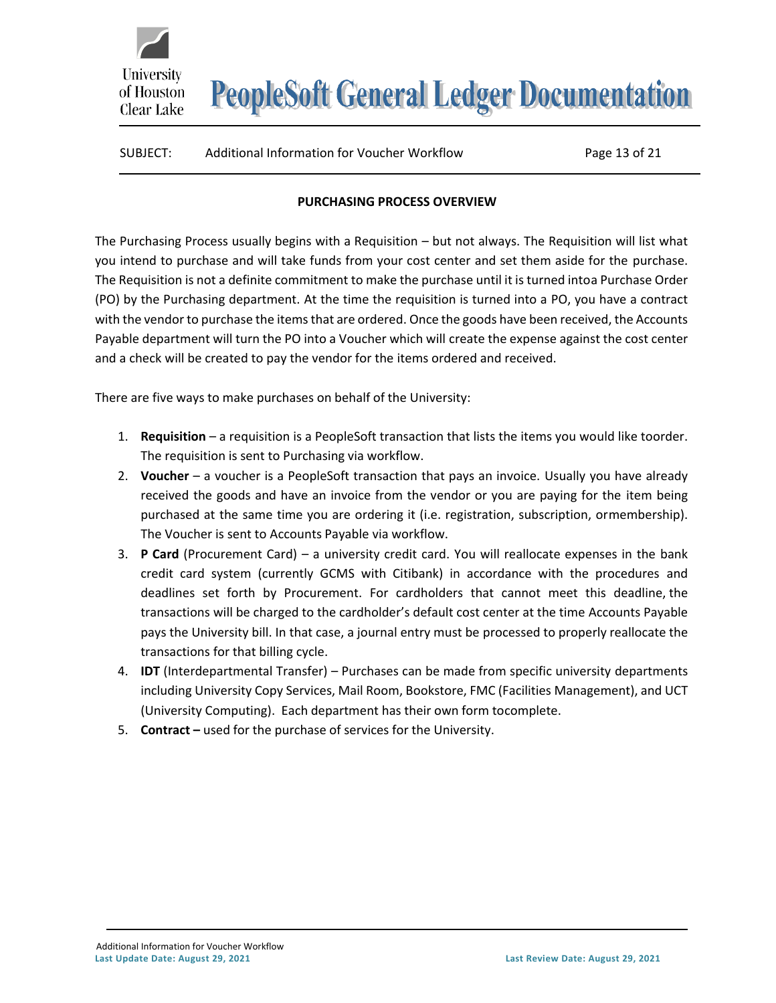# SUBJECT: Additional Information for Voucher Workflow Page 13 of 21

#### **PURCHASING PROCESS OVERVIEW**

<span id="page-12-0"></span>The Purchasing Process usually begins with a Requisition – but not always. The Requisition will list what you intend to purchase and will take funds from your cost center and set them aside for the purchase. The Requisition is not a definite commitment to make the purchase until it is turned intoa Purchase Order (PO) by the Purchasing department. At the time the requisition is turned into a PO, you have a contract with the vendor to purchase the items that are ordered. Once the goods have been received, the Accounts Payable department will turn the PO into a Voucher which will create the expense against the cost center and a check will be created to pay the vendor for the items ordered and received.

There are five ways to make purchases on behalf of the University:

University

of Houston Clear Lake

- 1. **Requisition**  a requisition is a PeopleSoft transaction that lists the items you would like toorder. The requisition is sent to Purchasing via workflow.
- 2. **Voucher**  a voucher is a PeopleSoft transaction that pays an invoice. Usually you have already received the goods and have an invoice from the vendor or you are paying for the item being purchased at the same time you are ordering it (i.e. registration, subscription, ormembership). The Voucher is sent to Accounts Payable via workflow.
- 3. **P Card** (Procurement Card) a university credit card. You will reallocate expenses in the bank credit card system (currently GCMS with Citibank) in accordance with the procedures and deadlines set forth by Procurement. For cardholders that cannot meet this deadline, the transactions will be charged to the cardholder's default cost center at the time Accounts Payable pays the University bill. In that case, a journal entry must be processed to properly reallocate the transactions for that billing cycle.
- 4. **IDT** (Interdepartmental Transfer) Purchases can be made from specific university departments including University Copy Services, Mail Room, Bookstore, FMC (Facilities Management), and UCT (University Computing). Each department has their own form tocomplete.
- 5. **Contract –** used for the purchase of services for the University.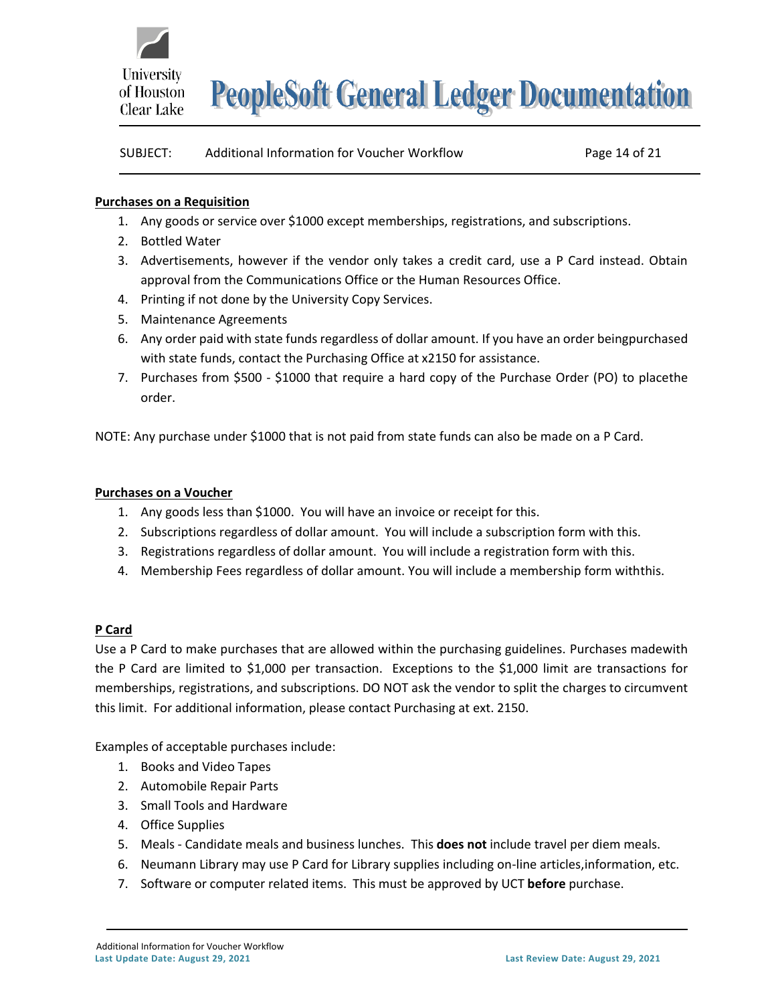

| SUBJECT: | Additional Information for Voucher Workflow | Page 14 of 21 |
|----------|---------------------------------------------|---------------|
|----------|---------------------------------------------|---------------|

#### **Purchases on a Requisition**

- 1. Any goods or service over \$1000 except memberships, registrations, and subscriptions.
- 2. Bottled Water
- 3. Advertisements, however if the vendor only takes a credit card, use a P Card instead. Obtain approval from the Communications Office or the Human Resources Office.
- 4. Printing if not done by the University Copy Services.
- 5. Maintenance Agreements
- 6. Any order paid with state funds regardless of dollar amount. If you have an order beingpurchased with state funds, contact the Purchasing Office at x2150 for assistance.
- 7. Purchases from \$500 \$1000 that require a hard copy of the Purchase Order (PO) to placethe order.

NOTE: Any purchase under \$1000 that is not paid from state funds can also be made on a P Card.

#### **Purchases on a Voucher**

- 1. Any goods less than \$1000. You will have an invoice or receipt for this.
- 2. Subscriptions regardless of dollar amount. You will include a subscription form with this.
- 3. Registrations regardless of dollar amount. You will include a registration form with this.
- 4. Membership Fees regardless of dollar amount. You will include a membership form withthis.

#### **P Card**

Use a P Card to make purchases that are allowed within the purchasing guidelines. Purchases madewith the P Card are limited to \$1,000 per transaction. Exceptions to the \$1,000 limit are transactions for memberships, registrations, and subscriptions. DO NOT ask the vendor to split the charges to circumvent this limit. For additional information, please contact Purchasing at ext. 2150.

Examples of acceptable purchases include:

- 1. Books and Video Tapes
- 2. Automobile Repair Parts
- 3. Small Tools and Hardware
- 4. Office Supplies
- 5. Meals Candidate meals and business lunches. This **does not** include travel per diem meals.
- 6. Neumann Library may use P Card for Library supplies including on-line articles,information, etc.
- 7. Software or computer related items. This must be approved by UCT **before** purchase.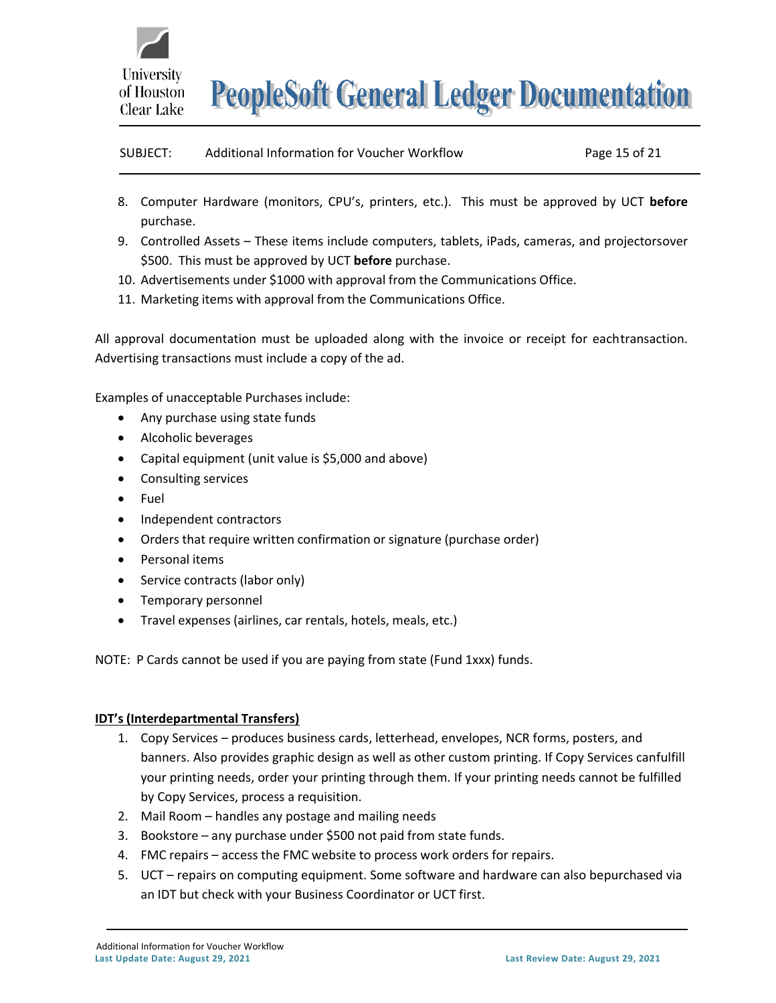

| SUBJECT:<br>Additional Information for Voucher Workflow<br>Page 15 of 21 |  |
|--------------------------------------------------------------------------|--|
|--------------------------------------------------------------------------|--|

- 8. Computer Hardware (monitors, CPU's, printers, etc.). This must be approved by UCT **before** purchase.
- 9. Controlled Assets These items include computers, tablets, iPads, cameras, and projectorsover \$500. This must be approved by UCT **before** purchase.
- 10. Advertisements under \$1000 with approval from the Communications Office.
- 11. Marketing items with approval from the Communications Office.

All approval documentation must be uploaded along with the invoice or receipt for eachtransaction. Advertising transactions must include a copy of the ad.

Examples of unacceptable Purchases include:

- Any purchase using state funds
- Alcoholic beverages
- Capital equipment (unit value is \$5,000 and above)
- Consulting services
- Fuel
- Independent contractors
- Orders that require written confirmation or signature (purchase order)
- Personal items
- Service contracts (labor only)
- Temporary personnel
- Travel expenses (airlines, car rentals, hotels, meals, etc.)

NOTE: P Cards cannot be used if you are paying from state (Fund 1xxx) funds.

#### **IDT's (Interdepartmental Transfers)**

- 1. Copy Services produces business cards, letterhead, envelopes, NCR forms, posters, and banners. Also provides graphic design as well as other custom printing. If Copy Services canfulfill your printing needs, order your printing through them. If your printing needs cannot be fulfilled by Copy Services, process a requisition.
- 2. Mail Room handles any postage and mailing needs
- 3. Bookstore any purchase under \$500 not paid from state funds.
- 4. FMC repairs access the FMC website to process work orders for repairs.
- 5. UCT repairs on computing equipment. Some software and hardware can also bepurchased via an IDT but check with your Business Coordinator or UCT first.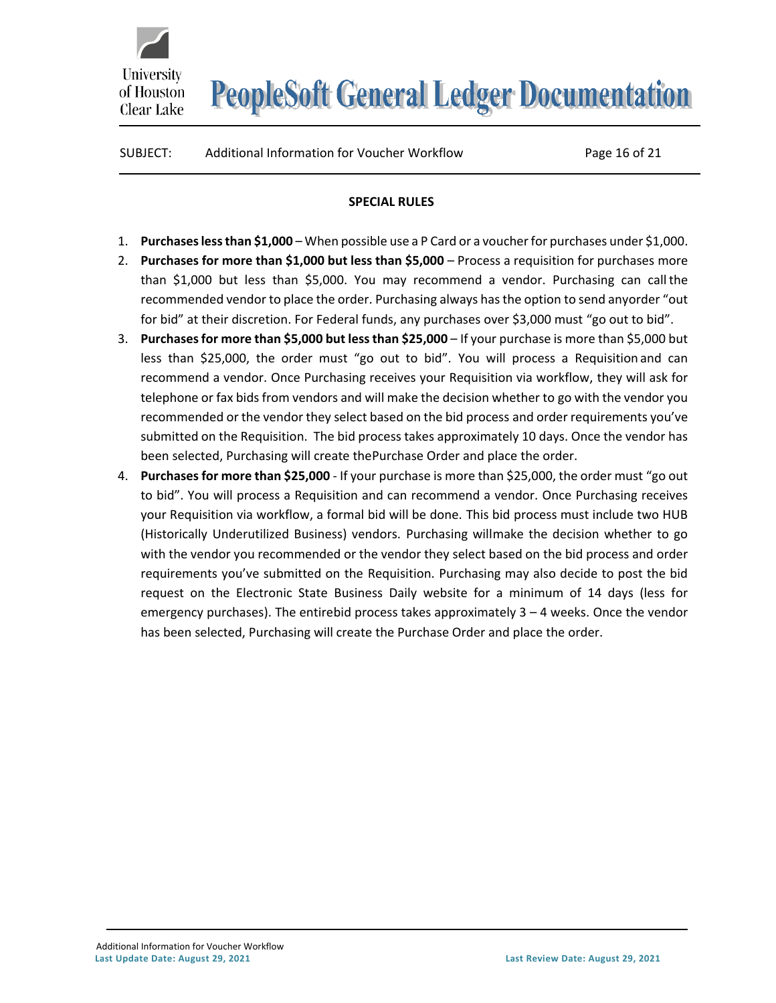SUBJECT: Additional Information for Voucher Workflow Page 16 of 21

University

of Houston Clear Lake

#### **SPECIAL RULES**

- <span id="page-15-0"></span>1. **Purchasesless than \$1,000** – When possible use a P Card or a voucherfor purchases under \$1,000.
- 2. **Purchases for more than \$1,000 but less than \$5,000**  Process a requisition for purchases more than \$1,000 but less than \$5,000. You may recommend a vendor. Purchasing can callthe recommended vendor to place the order. Purchasing always has the option to send anyorder "out for bid" at their discretion. For Federal funds, any purchases over \$3,000 must "go out to bid".
- 3. **Purchasesfor more than \$5,000 but lessthan \$25,000** If your purchase is more than \$5,000 but less than \$25,000, the order must "go out to bid". You will process a Requisition and can recommend a vendor. Once Purchasing receives your Requisition via workflow, they will ask for telephone or fax bids from vendors and will make the decision whether to go with the vendor you recommended or the vendor they select based on the bid process and order requirements you've submitted on the Requisition. The bid process takes approximately 10 days. Once the vendor has been selected, Purchasing will create thePurchase Order and place the order.
- 4. **Purchases for more than \$25,000**  If your purchase is more than \$25,000, the order must "go out to bid". You will process a Requisition and can recommend a vendor. Once Purchasing receives your Requisition via workflow, a formal bid will be done. This bid process must include two HUB (Historically Underutilized Business) vendors. Purchasing willmake the decision whether to go with the vendor you recommended or the vendor they select based on the bid process and order requirements you've submitted on the Requisition. Purchasing may also decide to post the bid request on the Electronic State Business Daily website for a minimum of 14 days (less for emergency purchases). The entirebid process takes approximately 3 – 4 weeks. Once the vendor has been selected, Purchasing will create the Purchase Order and place the order.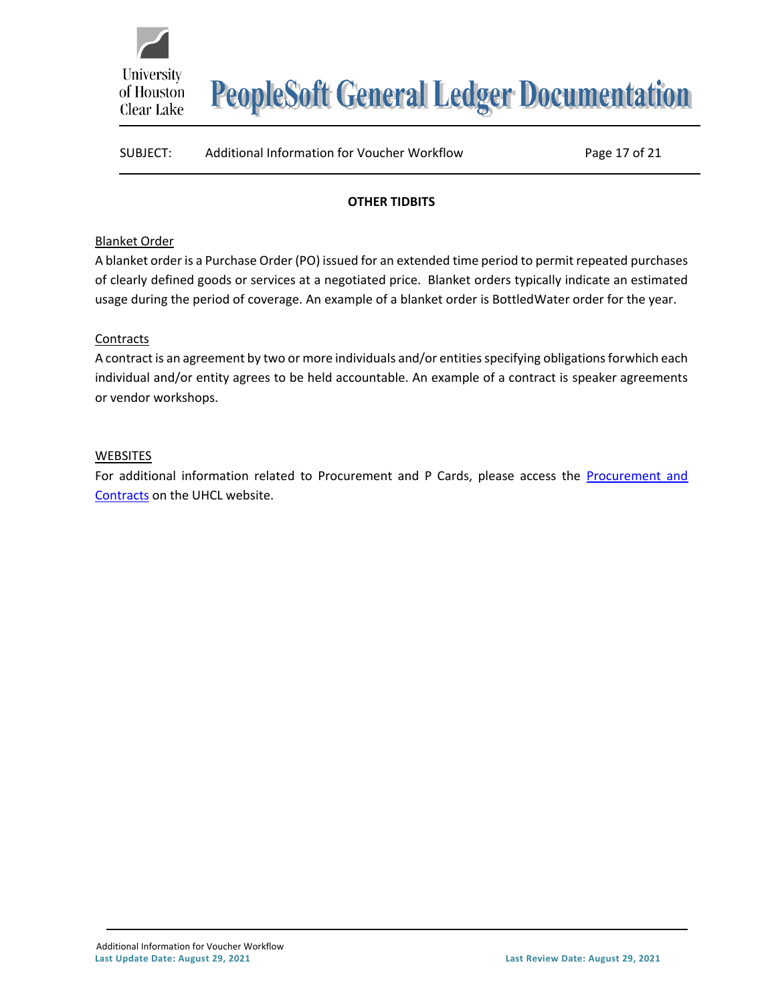

### SUBJECT: Additional Information for Voucher Workflow Page 17 of 21

#### **OTHER TIDBITS**

#### <span id="page-16-0"></span>Blanket Order

A blanket order is a Purchase Order (PO) issued for an extended time period to permit repeated purchases of clearly defined goods or services at a negotiated price. Blanket orders typically indicate an estimated usage during the period of coverage. An example of a blanket order is BottledWater order for the year.

#### **Contracts**

A contract is an agreement by two or more individuals and/or entities specifying obligations forwhich each individual and/or entity agrees to be held accountable. An example of a contract is speaker agreements or vendor workshops.

#### **WEBSITES**

For additional information related to [Procurement and](https://www.uhcl.edu/about/administrative-offices/procurement-contracts/) P Cards, please access the Procurement and [Contracts](https://www.uhcl.edu/about/administrative-offices/procurement-contracts/) on the UHCL website.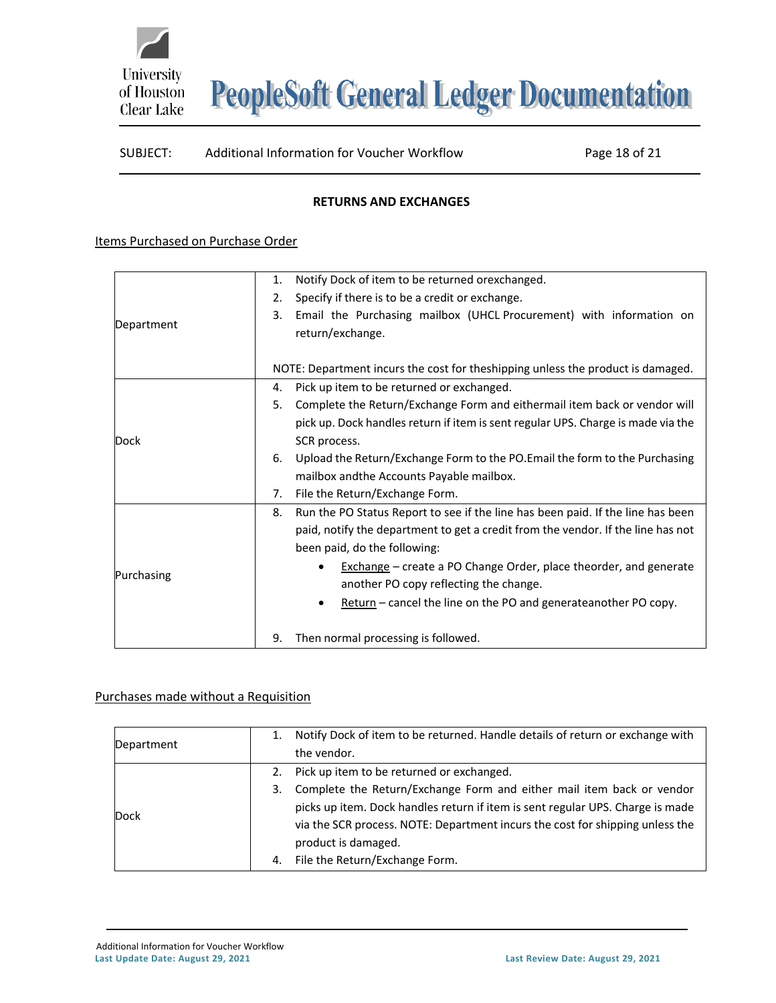

#### SUBJECT: Additional Information for Voucher Workflow Page 18 of 21

#### **RETURNS AND EXCHANGES**

#### <span id="page-17-0"></span>Items Purchased on Purchase Order

|            | Notify Dock of item to be returned orexchanged.<br>1.                                 |  |  |  |  |  |
|------------|---------------------------------------------------------------------------------------|--|--|--|--|--|
|            | Specify if there is to be a credit or exchange.<br>2.                                 |  |  |  |  |  |
|            | Email the Purchasing mailbox (UHCL Procurement) with information on<br>3.             |  |  |  |  |  |
| Department | return/exchange.                                                                      |  |  |  |  |  |
|            |                                                                                       |  |  |  |  |  |
|            | NOTE: Department incurs the cost for theshipping unless the product is damaged.       |  |  |  |  |  |
|            | Pick up item to be returned or exchanged.<br>4.                                       |  |  |  |  |  |
|            | Complete the Return/Exchange Form and eithermail item back or vendor will<br>5.       |  |  |  |  |  |
|            | pick up. Dock handles return if item is sent regular UPS. Charge is made via the      |  |  |  |  |  |
| Dock       | SCR process.                                                                          |  |  |  |  |  |
|            | Upload the Return/Exchange Form to the PO. Email the form to the Purchasing<br>6.     |  |  |  |  |  |
|            | mailbox and the Accounts Payable mailbox.                                             |  |  |  |  |  |
|            | File the Return/Exchange Form.<br>7.                                                  |  |  |  |  |  |
|            | Run the PO Status Report to see if the line has been paid. If the line has been<br>8. |  |  |  |  |  |
|            | paid, notify the department to get a credit from the vendor. If the line has not      |  |  |  |  |  |
| Purchasing | been paid, do the following:                                                          |  |  |  |  |  |
|            | <b>Exchange</b> – create a PO Change Order, place theorder, and generate              |  |  |  |  |  |
|            | another PO copy reflecting the change.                                                |  |  |  |  |  |
|            | Return - cancel the line on the PO and generateanother PO copy.                       |  |  |  |  |  |
|            |                                                                                       |  |  |  |  |  |
|            | Then normal processing is followed.<br>9.                                             |  |  |  |  |  |

#### Purchases made without a Requisition

| Department |    | Notify Dock of item to be returned. Handle details of return or exchange with<br>the vendor. |
|------------|----|----------------------------------------------------------------------------------------------|
|            | 2. | Pick up item to be returned or exchanged.                                                    |
|            | 3. | Complete the Return/Exchange Form and either mail item back or vendor                        |
| Dock       |    | picks up item. Dock handles return if item is sent regular UPS. Charge is made               |
|            |    | via the SCR process. NOTE: Department incurs the cost for shipping unless the                |
|            |    | product is damaged.                                                                          |
|            | 4. | File the Return/Exchange Form.                                                               |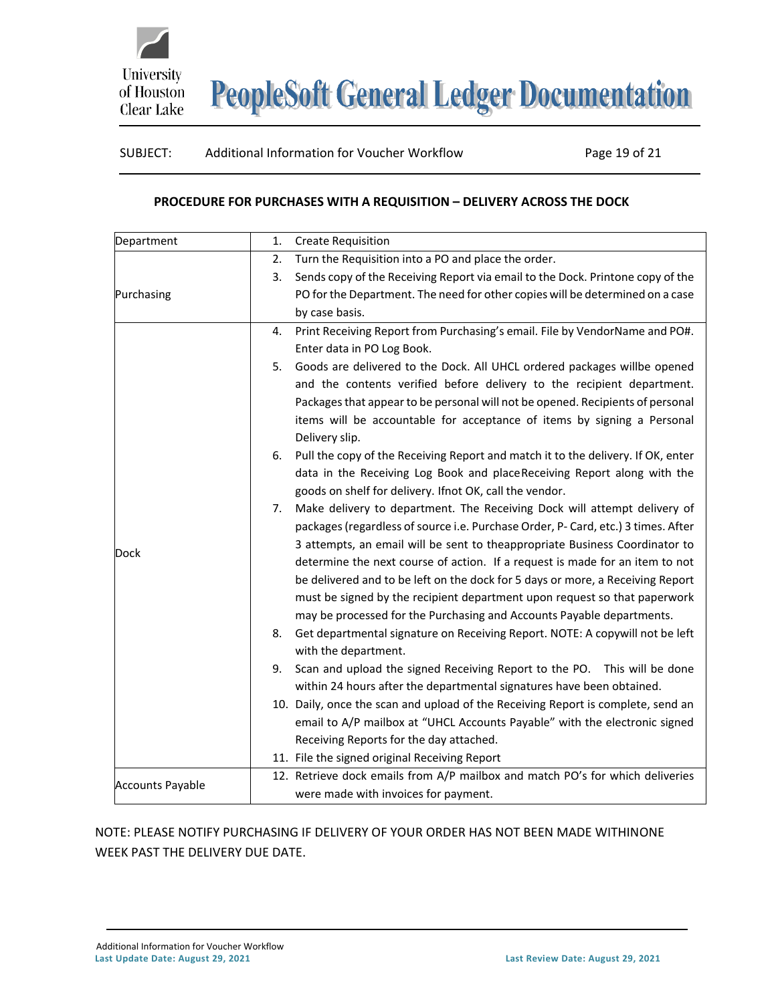

### SUBJECT: Additional Information for Voucher Workflow Page 19 of 21

#### **PROCEDURE FOR PURCHASES WITH A REQUISITION – DELIVERY ACROSS THE DOCK**

<span id="page-18-0"></span>

| Department              | 1. | <b>Create Requisition</b>                                                                 |
|-------------------------|----|-------------------------------------------------------------------------------------------|
| Purchasing              | 2. | Turn the Requisition into a PO and place the order.                                       |
|                         | 3. | Sends copy of the Receiving Report via email to the Dock. Printone copy of the            |
|                         |    | PO for the Department. The need for other copies will be determined on a case             |
|                         |    | by case basis.                                                                            |
| Dock                    | 4. | Print Receiving Report from Purchasing's email. File by VendorName and PO#.               |
|                         |    | Enter data in PO Log Book.                                                                |
|                         | 5. | Goods are delivered to the Dock. All UHCL ordered packages willbe opened                  |
|                         |    | and the contents verified before delivery to the recipient department.                    |
|                         |    | Packages that appear to be personal will not be opened. Recipients of personal            |
|                         |    | items will be accountable for acceptance of items by signing a Personal<br>Delivery slip. |
|                         | 6. | Pull the copy of the Receiving Report and match it to the delivery. If OK, enter          |
|                         |    | data in the Receiving Log Book and place Receiving Report along with the                  |
|                         |    | goods on shelf for delivery. Ifnot OK, call the vendor.                                   |
|                         | 7. | Make delivery to department. The Receiving Dock will attempt delivery of                  |
|                         |    | packages (regardless of source i.e. Purchase Order, P- Card, etc.) 3 times. After         |
|                         |    | 3 attempts, an email will be sent to theappropriate Business Coordinator to               |
|                         |    | determine the next course of action. If a request is made for an item to not              |
|                         |    | be delivered and to be left on the dock for 5 days or more, a Receiving Report            |
|                         |    | must be signed by the recipient department upon request so that paperwork                 |
|                         |    | may be processed for the Purchasing and Accounts Payable departments.                     |
|                         | 8. | Get departmental signature on Receiving Report. NOTE: A copywill not be left              |
|                         |    | with the department.                                                                      |
|                         | 9. | Scan and upload the signed Receiving Report to the PO. This will be done                  |
|                         |    | within 24 hours after the departmental signatures have been obtained.                     |
|                         |    | 10. Daily, once the scan and upload of the Receiving Report is complete, send an          |
|                         |    | email to A/P mailbox at "UHCL Accounts Payable" with the electronic signed                |
|                         |    | Receiving Reports for the day attached.                                                   |
|                         |    | 11. File the signed original Receiving Report                                             |
| <b>Accounts Payable</b> |    | 12. Retrieve dock emails from A/P mailbox and match PO's for which deliveries             |
|                         |    | were made with invoices for payment.                                                      |

### NOTE: PLEASE NOTIFY PURCHASING IF DELIVERY OF YOUR ORDER HAS NOT BEEN MADE WITHINONE WEEK PAST THE DELIVERY DUE DATE.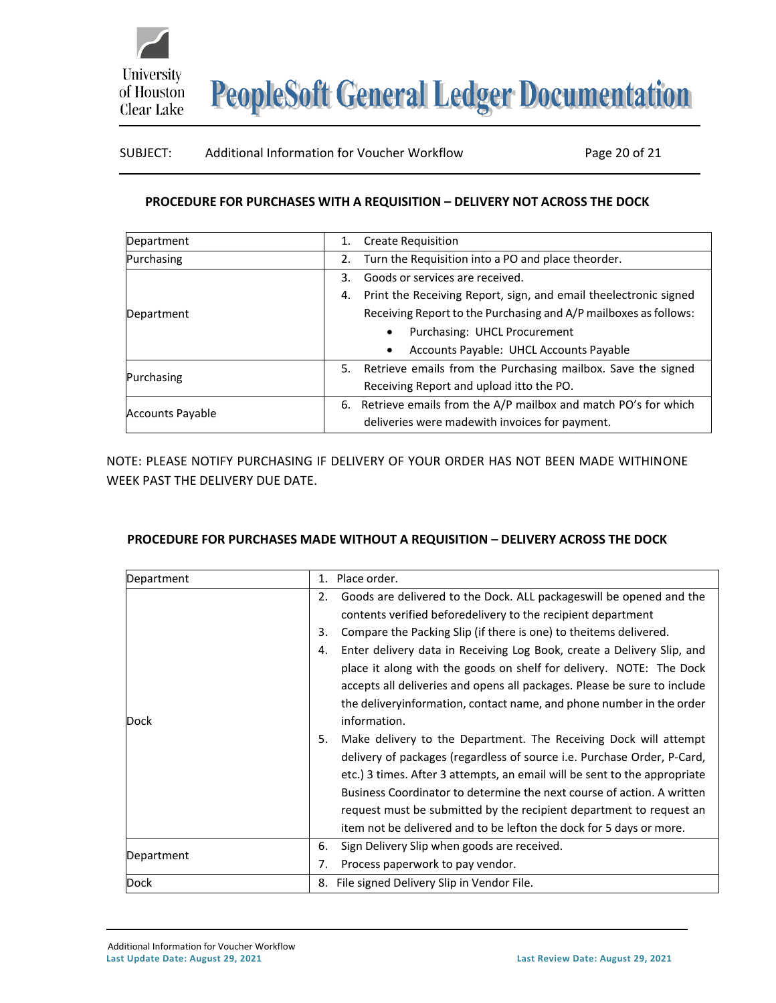

#### SUBJECT: Additional Information for Voucher Workflow Page 20 of 21

#### **PROCEDURE FOR PURCHASES WITH A REQUISITION – DELIVERY NOT ACROSS THE DOCK**

<span id="page-19-0"></span>

| Department              | <b>Create Requisition</b><br>1.                                        |
|-------------------------|------------------------------------------------------------------------|
| Purchasing              | Turn the Requisition into a PO and place theorder.<br>2.               |
|                         | Goods or services are received.<br>3.                                  |
|                         | Print the Receiving Report, sign, and email theelectronic signed<br>4. |
| Department              | Receiving Report to the Purchasing and A/P mailboxes as follows:       |
|                         | Purchasing: UHCL Procurement<br>$\bullet$                              |
|                         | Accounts Payable: UHCL Accounts Payable<br>٠                           |
| Purchasing              | Retrieve emails from the Purchasing mailbox. Save the signed<br>5.     |
|                         | Receiving Report and upload itto the PO.                               |
| <b>Accounts Payable</b> | Retrieve emails from the A/P mailbox and match PO's for which<br>6.    |
|                         | deliveries were madewith invoices for payment.                         |

NOTE: PLEASE NOTIFY PURCHASING IF DELIVERY OF YOUR ORDER HAS NOT BEEN MADE WITHINONE WEEK PAST THE DELIVERY DUE DATE.

#### <span id="page-19-1"></span>**PROCEDURE FOR PURCHASES MADE WITHOUT A REQUISITION – DELIVERY ACROSS THE DOCK**

| Department | Place order.<br>$1_{-}$                                                      |
|------------|------------------------------------------------------------------------------|
|            | Goods are delivered to the Dock. ALL packages will be opened and the<br>2.   |
|            | contents verified beforedelivery to the recipient department                 |
|            | Compare the Packing Slip (if there is one) to theitems delivered.<br>3.      |
|            | Enter delivery data in Receiving Log Book, create a Delivery Slip, and<br>4. |
|            | place it along with the goods on shelf for delivery. NOTE: The Dock          |
|            | accepts all deliveries and opens all packages. Please be sure to include     |
|            | the deliveryinformation, contact name, and phone number in the order         |
| Dock       | information.                                                                 |
|            | Make delivery to the Department. The Receiving Dock will attempt<br>5.       |
|            | delivery of packages (regardless of source i.e. Purchase Order, P-Card,      |
|            | etc.) 3 times. After 3 attempts, an email will be sent to the appropriate    |
|            | Business Coordinator to determine the next course of action. A written       |
|            | request must be submitted by the recipient department to request an          |
|            | item not be delivered and to be lefton the dock for 5 days or more.          |
| Department | Sign Delivery Slip when goods are received.<br>6.                            |
|            | Process paperwork to pay vendor.<br>7.                                       |
| Dock       | File signed Delivery Slip in Vendor File.<br>8.                              |